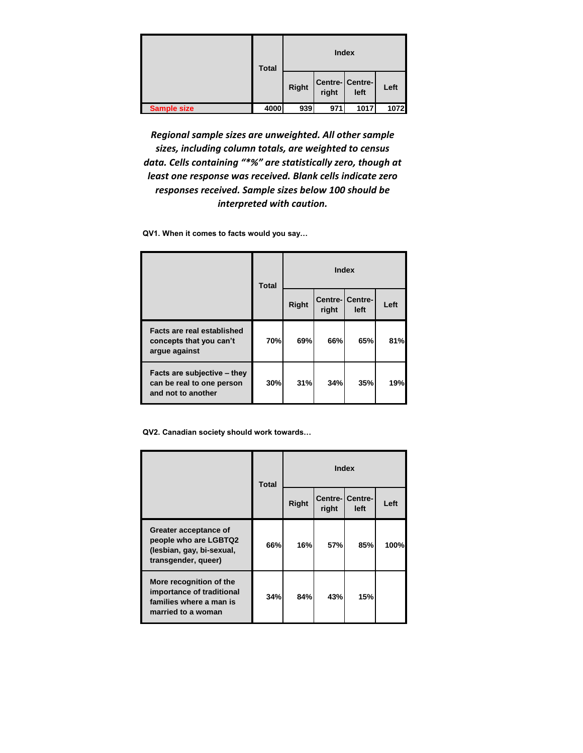|                    | <b>Total</b> |              | <b>Index</b> |                        |      |
|--------------------|--------------|--------------|--------------|------------------------|------|
|                    |              | <b>Right</b> | right        | Centre-Centre-<br>left | Left |
| <b>Sample size</b> | 4000         | 939          | 971          | 1017                   | 1072 |

*Regional sample sizes are unweighted. All other sample sizes, including column totals, are weighted to census data. Cells containing "\*%" are statistically zero, though at least one response was received. Blank cells indicate zero responses received. Sample sizes below 100 should be interpreted with caution.* 

**QV1. When it comes to facts would you say…**

|                                                                                | <b>Total</b> |              |                  | Index           |      |
|--------------------------------------------------------------------------------|--------------|--------------|------------------|-----------------|------|
|                                                                                |              | <b>Right</b> | Centre-<br>right | Centre-<br>left | Left |
| Facts are real established<br>concepts that you can't<br>argue against         | 70%          | 69%          | 66%              | 65%             | 81%  |
| Facts are subjective - they<br>can be real to one person<br>and not to another | 30%          | 31%          | 34%              | 35%             | 19%  |

**QV2. Canadian society should work towards…**

|                                                                                                       | <b>Total</b> |              |       | <b>Index</b>            |      |
|-------------------------------------------------------------------------------------------------------|--------------|--------------|-------|-------------------------|------|
|                                                                                                       |              | <b>Right</b> | right | Centre-ICentre-<br>left | Left |
| Greater acceptance of<br>people who are LGBTQ2<br>(lesbian, gay, bi-sexual,<br>transgender, queer)    | 66%          | 16%          | 57%   | 85%                     | 100% |
| More recognition of the<br>importance of traditional<br>families where a man is<br>married to a woman | 34%          | 84%          | 43%   | 15%                     |      |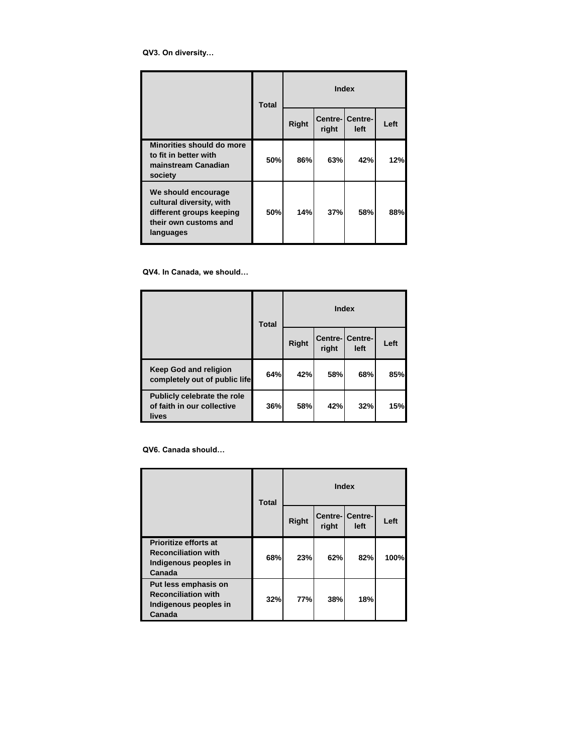**QV3. On diversity…**

|                                                                                                                   | <b>Total</b> |       |       | <b>Index</b>            |      |
|-------------------------------------------------------------------------------------------------------------------|--------------|-------|-------|-------------------------|------|
|                                                                                                                   |              | Right | right | Centre-ICentre-<br>left | Left |
| Minorities should do more<br>to fit in better with<br>mainstream Canadian<br>society                              | 50%          | 86%   | 63%   | 42%                     | 12%  |
| We should encourage<br>cultural diversity, with<br>different groups keeping<br>their own customs and<br>languages | 50%          | 14%   | 37%   | 58%                     | 88%  |

**QV4. In Canada, we should…**

|                                                                    | <b>Total</b> |              |       | <b>Index</b>                    |      |
|--------------------------------------------------------------------|--------------|--------------|-------|---------------------------------|------|
|                                                                    |              | <b>Right</b> | right | <b>Centre-ICentre-I</b><br>left | Left |
| <b>Keep God and religion</b><br>completely out of public life      | 64%          | 42%          | 58%   | 68%                             | 85%  |
| Publicly celebrate the role<br>of faith in our collective<br>lives | 36%          | 58%          | 42%   | 32%                             | 15%  |

**QV6. Canada should…**

|                                                                                        | <b>Total</b> |              |       | <b>Index</b>                   |      |
|----------------------------------------------------------------------------------------|--------------|--------------|-------|--------------------------------|------|
|                                                                                        |              | <b>Right</b> | right | <b>Centre-</b> Centre-<br>left | Left |
| Prioritize efforts at<br><b>Reconciliation with</b><br>Indigenous peoples in<br>Canada | 68%          | 23%          | 62%   | 82%                            | 100% |
| Put less emphasis on<br><b>Reconciliation with</b><br>Indigenous peoples in<br>Canada  | 32%          | <b>77%</b>   | 38%   | 18%                            |      |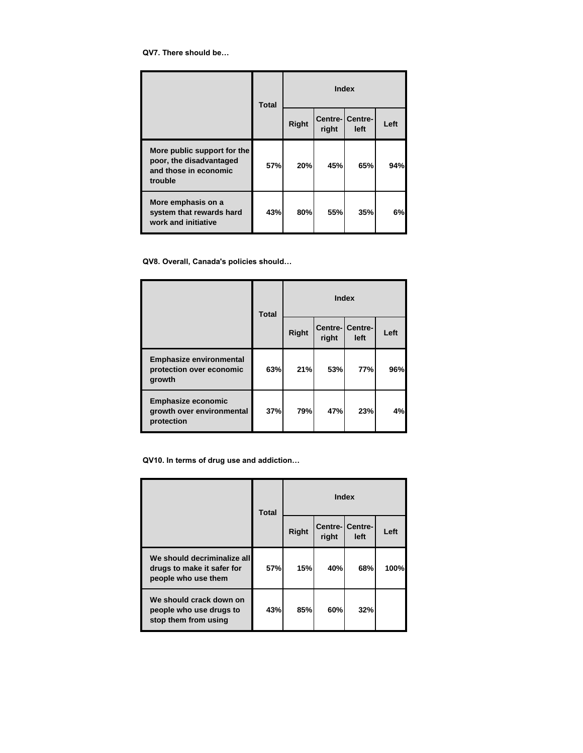**QV7. There should be…**

|                                                                                            | <b>Total</b> |              |       | <b>Index</b>                    |      |
|--------------------------------------------------------------------------------------------|--------------|--------------|-------|---------------------------------|------|
|                                                                                            |              | <b>Right</b> | right | <b>Centre-ICentre-I</b><br>left | Left |
| More public support for the<br>poor, the disadvantaged<br>and those in economic<br>trouble | 57%          | 20%          | 45%   | 65%                             | 94%  |
| More emphasis on a<br>system that rewards hard<br>work and initiative                      | 43%          | 80%          | 55%   | 35%                             | 6%   |

**QV8. Overall, Canada's policies should…**

|                                                                      | <b>Total</b> |              | <b>Index</b> |                                 |      |
|----------------------------------------------------------------------|--------------|--------------|--------------|---------------------------------|------|
|                                                                      |              | <b>Right</b> | right        | <b>Centre-ICentre-I</b><br>left | Left |
| <b>Emphasize environmental</b><br>protection over economic<br>growth | 63%          | 21%          | 53%          | <b>77%</b>                      | 96%  |
| <b>Emphasize economic</b><br>growth over environmental<br>protection | 37%          | 79%          | 47%          | 23%                             | 4%   |

**QV10. In terms of drug use and addiction…**

|                                                                                  | <b>Total</b> |       |                  | <b>Index</b>    |      |
|----------------------------------------------------------------------------------|--------------|-------|------------------|-----------------|------|
|                                                                                  |              | Right | Centre-<br>right | Centre-<br>left | Left |
| We should decriminalize all<br>drugs to make it safer for<br>people who use them | 57%          | 15%   | 40%              | 68%             | 100% |
| We should crack down on<br>people who use drugs to<br>stop them from using       | 43%          | 85%   | 60%              | 32%             |      |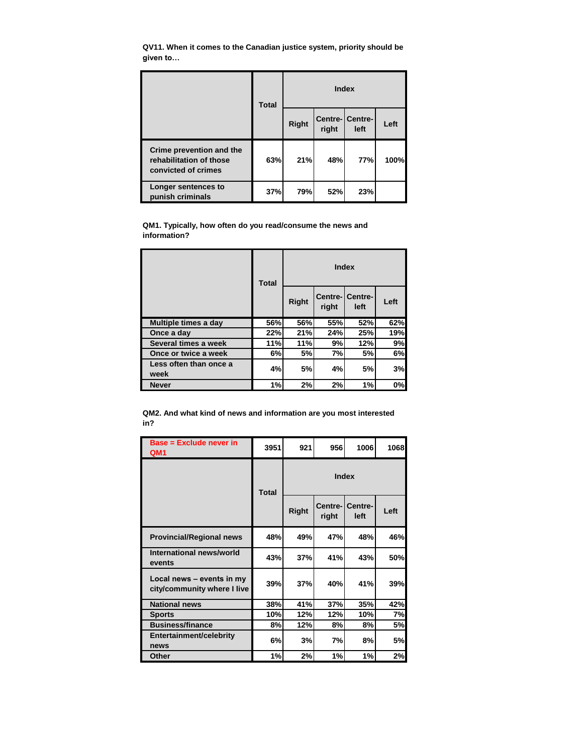**QV11. When it comes to the Canadian justice system, priority should be given to…**

|                                                                            | <b>Total</b> |              |       | Index                   |      |
|----------------------------------------------------------------------------|--------------|--------------|-------|-------------------------|------|
|                                                                            |              | <b>Right</b> | right | Centre- Centre-<br>left | Left |
| Crime prevention and the<br>rehabilitation of those<br>convicted of crimes | 63%          | 21%          | 48%   | <b>77%</b>              | 100% |
| Longer sentences to<br>punish criminals                                    | 37%          | 79%          | 52%   | 23%                     |      |

**QM1. Typically, how often do you read/consume the news and information?**

|                                | <b>Total</b> |              |       | Index                          |      |
|--------------------------------|--------------|--------------|-------|--------------------------------|------|
|                                |              | <b>Right</b> | right | <b>Centre-ICentre-</b><br>left | Left |
| Multiple times a day           | 56%          | 56%          | 55%   | 52%                            | 62%  |
| Once a day                     | 22%          | 21%          | 24%   | 25%                            | 19%  |
| Several times a week           | 11%          | 11%          | 9%    | 12%                            | 9%   |
| Once or twice a week           | 6%           | 5%           | 7%    | 5%                             | 6%   |
| Less often than once a<br>week | 4%           | 5%           | 4%    | 5%                             | 3%   |
| <b>Never</b>                   | 1%           | 2%           | 2%    | 1%                             | 0%   |

**QM2. And what kind of news and information are you most interested in?**

| <b>Base = Exclude never in</b><br>QM <sub>1</sub>        | 3951                                                             | 921 | 956 | 1006            | 1068 |
|----------------------------------------------------------|------------------------------------------------------------------|-----|-----|-----------------|------|
|                                                          | <b>Index</b><br><b>Total</b><br>Centre-<br><b>Right</b><br>right |     |     |                 |      |
|                                                          |                                                                  |     |     | Centre-<br>left | Left |
| <b>Provincial/Regional news</b>                          | 48%                                                              | 49% | 47% | 48%             | 46%  |
| International news/world<br>events                       | 43%                                                              | 37% | 41% | 43%             | 50%  |
| Local news - events in my<br>city/community where I live | 39%                                                              | 37% | 40% | 41%             | 39%  |
| <b>National news</b>                                     | 38%                                                              | 41% | 37% | 35%             | 42%  |
| <b>Sports</b>                                            | 10%                                                              | 12% | 12% | 10%             | 7%   |
| <b>Business/finance</b>                                  | 8%                                                               | 12% | 8%  | 8%              | 5%   |
| Entertainment/celebrity<br>news                          | 6%                                                               | 3%  | 7%  | 8%              | 5%   |
| Other                                                    | 1%                                                               | 2%  | 1%  | 1%              | 2%   |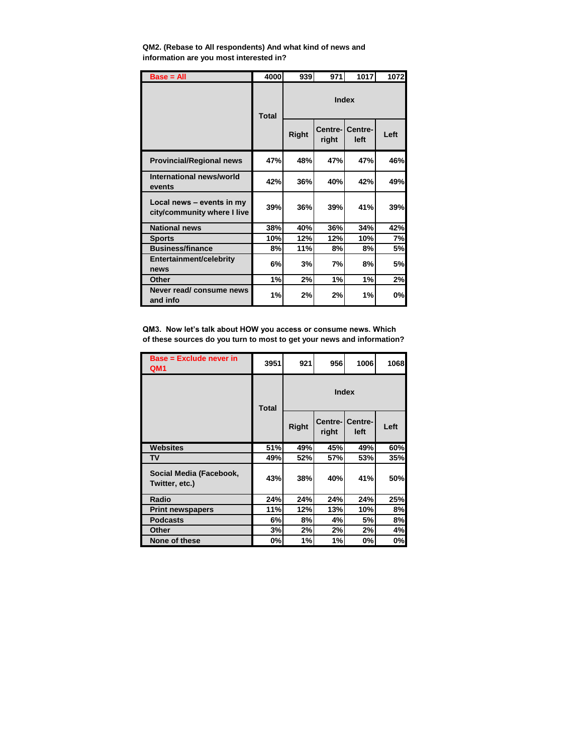| $Base = All$                                             | 4000         | 939          | 971          | 1017                    | 1072      |  |
|----------------------------------------------------------|--------------|--------------|--------------|-------------------------|-----------|--|
|                                                          | <b>Total</b> |              | <b>Index</b> |                         |           |  |
|                                                          |              | <b>Right</b> | right        | Centre- Centre-<br>left | Left      |  |
| <b>Provincial/Regional news</b>                          | 47%          | 48%          | 47%          | 47%                     | 46%       |  |
| International news/world<br>events                       | 42%          | 36%          | 40%          | 42%                     | 49%       |  |
| Local news - events in my<br>city/community where I live | 39%          | 36%          | 39%          | 41%                     | 39%       |  |
| <b>National news</b>                                     | 38%          | 40%          | 36%          | 34%                     | 42%       |  |
| <b>Sports</b>                                            | 10%          | 12%          | 12%          | 10%                     | 7%        |  |
| <b>Business/finance</b>                                  | 8%           | 11%          | 8%           | 8%                      | <b>5%</b> |  |
| Entertainment/celebrity<br>news                          | 6%           | 3%           | 7%           | 8%                      | <b>5%</b> |  |
| Other                                                    | 1%           | 2%           | 1%           | 1%                      | 2%        |  |
| Never read/ consume news<br>and info                     | 1%           | 2%           | 2%           | 1%                      | 0%        |  |

**QM2. (Rebase to All respondents) And what kind of news and information are you most interested in?**

**QM3. Now let's talk about HOW you access or consume news. Which of these sources do you turn to most to get your news and information?**

| <b>Base = Exclude never in</b><br>QM <sub>1</sub> | 3951         | 921          | 956              | 1006            | 1068 |
|---------------------------------------------------|--------------|--------------|------------------|-----------------|------|
|                                                   | <b>Total</b> |              |                  |                 |      |
|                                                   |              | <b>Right</b> | Centre-<br>right | Centre-<br>left | Left |
| <b>Websites</b>                                   | <b>51%</b>   | 49%          | 45%              | 49%             | 60%  |
| TV                                                | 49%          | 52%          | 57%              | 53%             | 35%  |
| Social Media (Facebook,<br>Twitter, etc.)         | 43%          | 38%          | 40%              | 41%             | 50%  |
| Radio                                             | 24%          | 24%          | 24%              | 24%             | 25%  |
| <b>Print newspapers</b>                           | 11%          | 12%          | 13%              | 10%             | 8%   |
| <b>Podcasts</b>                                   | 6%           | 8%           | 4%               | 5%              | 8%   |
| Other                                             | 3%           | 2%           | 2%               | 2%              | 4%   |
| None of these                                     | 0%           | 1%           | 1%               | 0%              | 0%   |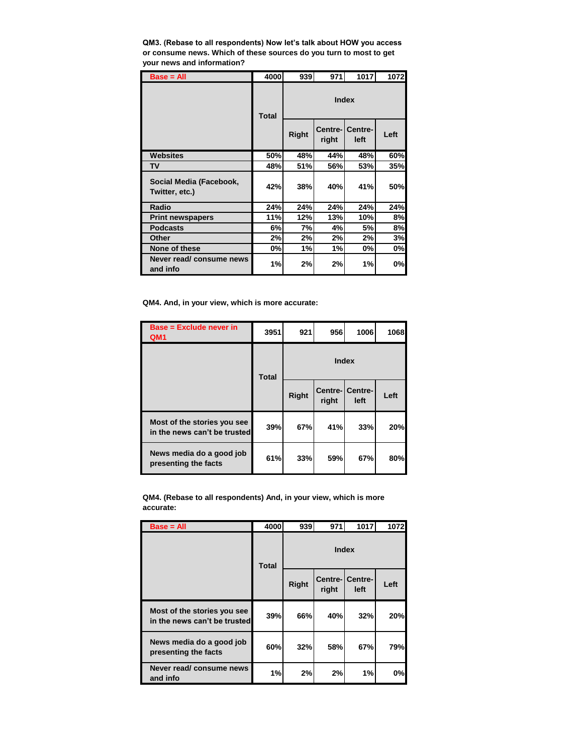**QM3. (Rebase to all respondents) Now let's talk about HOW you access or consume news. Which of these sources do you turn to most to get your news and information?**

| $Base = All$                              | 4000         | 939          | 971               | 1017            | 1072 |  |
|-------------------------------------------|--------------|--------------|-------------------|-----------------|------|--|
|                                           | <b>Total</b> | <b>Index</b> |                   |                 |      |  |
|                                           |              | <b>Right</b> | Centre-I<br>right | Centre-<br>left | Left |  |
| <b>Websites</b>                           | 50%          | 48%          | 44%               | 48%             | 60%  |  |
| <b>TV</b>                                 | 48%          | 51%          | 56%               | 53%             | 35%  |  |
| Social Media (Facebook,<br>Twitter, etc.) | 42%          | 38%          | 40%               | 41%             | 50%  |  |
| Radio                                     | 24%          | 24%          | 24%               | 24%             | 24%  |  |
| <b>Print newspapers</b>                   | 11%          | 12%          | 13%               | 10%             | 8%   |  |
| <b>Podcasts</b>                           | 6%           | 7%           | 4%                | 5%              | 8%   |  |
| Other                                     | 2%           | 2%           | 2%                | 2%              | 3%   |  |
| None of these                             | 0%           | 1%           | 1%                | 0%              | 0%   |  |
| Never read/ consume news<br>and info      | 1%           | 2%           | 2%                | 1%              | 0%   |  |

**QM4. And, in your view, which is more accurate:**

| <b>Base = Exclude never in</b><br>QM <sub>1</sub>           | 3951         | 921          | 956              | 1006            | 1068 |
|-------------------------------------------------------------|--------------|--------------|------------------|-----------------|------|
|                                                             | <b>Total</b> |              | <b>Index</b>     |                 |      |
|                                                             |              | <b>Right</b> | Centre-<br>right | Centre-<br>left | Left |
| Most of the stories you see<br>in the news can't be trusted | 39%          | 67%          | 41%              | 33%             | 20%  |
| News media do a good job<br>presenting the facts            | 61%          | 33%          | 59%              | 67%             | 80%  |

**QM4. (Rebase to all respondents) And, in your view, which is more accurate:**

| $Base = All$                                                | 4000         | 939          | 971              | 1017            | 1072 |
|-------------------------------------------------------------|--------------|--------------|------------------|-----------------|------|
|                                                             | <b>Total</b> |              |                  |                 |      |
|                                                             |              | <b>Right</b> | Centre-<br>right | Centre-<br>left | Left |
| Most of the stories you see<br>in the news can't be trusted | 39%          | 66%          | 40%              | 32%             | 20%  |
| News media do a good job<br>presenting the facts            | 60%          | 32%          | 58%              | 67%             | 79%  |
| Never read/ consume news<br>and info                        | 1%           | 2%           | 2%               | 1%              | 0%   |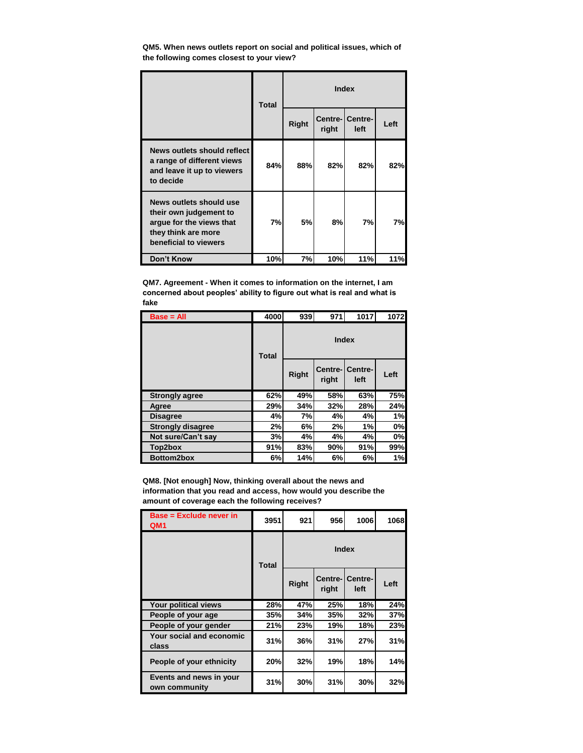**QM5. When news outlets report on social and political issues, which of the following comes closest to your view?**

|                                                                                                                               | <b>Total</b> |       |       | <b>Index</b>                    |      |
|-------------------------------------------------------------------------------------------------------------------------------|--------------|-------|-------|---------------------------------|------|
|                                                                                                                               |              | Right | right | <b>Centre-ICentre-I</b><br>left | Left |
| News outlets should reflect<br>a range of different views<br>and leave it up to viewers<br>to decide                          | 84%          | 88%   | 82%   | 82%                             | 82%  |
| News outlets should use<br>their own judgement to<br>argue for the views that<br>they think are more<br>beneficial to viewers | 7%           | 5%    | 8%    | 7%                              | 7%l  |
| <b>Don't Know</b>                                                                                                             | 10%          | 7%    | 10%   | 11%                             | 11%  |

**QM7. Agreement - When it comes to information on the internet, I am concerned about peoples' ability to figure out what is real and what is fake**

| $Base = All$             | 4000         | 939          | 971              | 1017            | 1072 |  |
|--------------------------|--------------|--------------|------------------|-----------------|------|--|
|                          | <b>Total</b> | <b>Index</b> |                  |                 |      |  |
|                          |              | <b>Right</b> | Centre-<br>right | Centre-<br>left | Left |  |
| <b>Strongly agree</b>    | 62%          | 49%          | 58%              | 63%             | 75%  |  |
| Agree                    | 29%          | 34%          | 32%              | 28%             | 24%  |  |
| <b>Disagree</b>          | 4%           | 7%           | 4%               | 4%              | 1%   |  |
| <b>Strongly disagree</b> | 2%           | 6%           | 2%               | 1%              | 0%   |  |
| Not sure/Can't say       | 3%           | 4%           | 4%               | 4%              | 0%   |  |
| Top2box                  | 91%          | 83%          | 90%              | 91%             | 99%  |  |
| Bottom2box               | 6%           | 14%          | 6%               | 6%              | 1%   |  |

**QM8. [Not enough] Now, thinking overall about the news and information that you read and access, how would you describe the amount of coverage each the following receives?**

| Base = Exclude never in<br>QM <sub>1</sub> | 3951         | 921          | 956               | 1006            | 1068 |
|--------------------------------------------|--------------|--------------|-------------------|-----------------|------|
|                                            | <b>Total</b> |              | <b>Index</b>      |                 |      |
|                                            |              | <b>Right</b> | Centre-I<br>right | Centre-<br>left | Left |
| Your political views                       | 28%          | 47%          | 25%               | 18%             | 24%  |
| People of your age                         | 35%          | 34%          | <b>35%</b>        | 32%             | 37%  |
| People of your gender                      | 21%          | 23%          | <b>19%</b>        | 18%             | 23%  |
| Your social and economic<br>class          | 31%          | <b>36%</b>   | 31%               | 27%             | 31%  |
| People of your ethnicity                   | 20%          | 32%          | 19%               | 18%             | 14%  |
| Events and news in your<br>own community   | 31%          | 30%          | 31%               | 30%             | 32%  |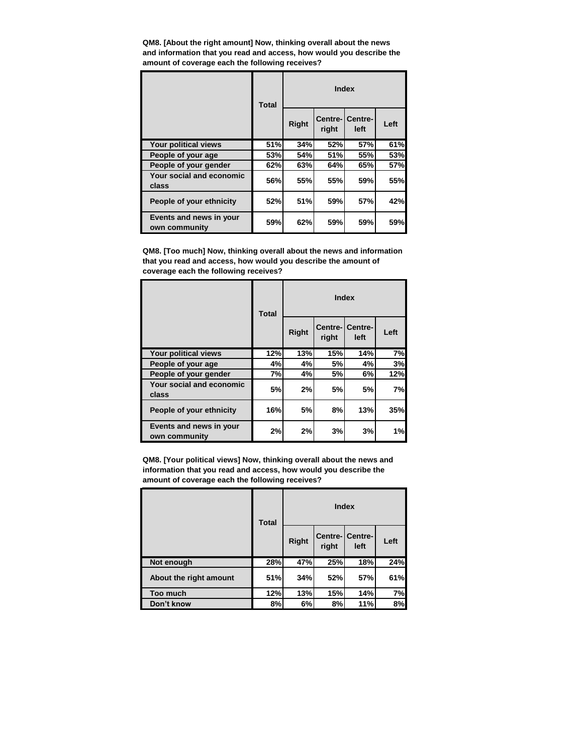**QM8. [About the right amount] Now, thinking overall about the news and information that you read and access, how would you describe the amount of coverage each the following receives?**

|                                          | <b>Total</b> | <b>Index</b> |                  |                 |      |
|------------------------------------------|--------------|--------------|------------------|-----------------|------|
|                                          |              | Right        | Centre-<br>right | Centre-<br>left | Left |
| Your political views                     | 51%          | 34%          | 52%              | <b>57%</b>      | 61%  |
| People of your age                       | 53%          | <b>54%</b>   | 51%              | 55%             | 53%  |
| People of your gender                    | 62%          | 63%          | 64%              | 65%             | 57%  |
| Your social and economic<br>class        | 56%          | 55%          | 55%              | 59%             | 55%  |
| People of your ethnicity                 | 52%          | 51%          | 59%              | 57%             | 42%  |
| Events and news in your<br>own community | 59%          | 62%          | 59%              | 59%             | 59%  |

**QM8. [Too much] Now, thinking overall about the news and information that you read and access, how would you describe the amount of coverage each the following receives?**

|                                          | <b>Total</b> |              |                  | <b>Index</b>    |      |
|------------------------------------------|--------------|--------------|------------------|-----------------|------|
|                                          |              | <b>Right</b> | Centre-<br>right | Centre-<br>left | Left |
| Your political views                     | 12%          | 13%          | 15%              | 14%             | 7%   |
| People of your age                       | 4%           | 4%           | 5%               | 4%              | 3%   |
| People of your gender                    | 7%           | 4%           | 5%               | 6%              | 12%  |
| Your social and economic<br>class        | 5%           | 2%           | 5%               | 5%              | 7%   |
| People of your ethnicity                 | 16%          | 5%           | 8%               | 13%             | 35%  |
| Events and news in your<br>own community | 2%           | 2%           | 3%               | 3%              | 1%   |

**QM8. [Your political views] Now, thinking overall about the news and information that you read and access, how would you describe the amount of coverage each the following receives?**

|                        | <b>Total</b> |       |       | <b>Index</b>             |      |
|------------------------|--------------|-------|-------|--------------------------|------|
|                        |              | Right | right | Centre- Centre- <br>left | Left |
| Not enough             | 28%          | 47%   | 25%   | 18%                      | 24%  |
| About the right amount | 51%          | 34%   | 52%   | 57%                      | 61%  |
| Too much               | 12%          | 13%   | 15%   | 14%                      | 7%   |
| Don't know             | 8%           | 6%    | 8%    | 11%                      | 8%   |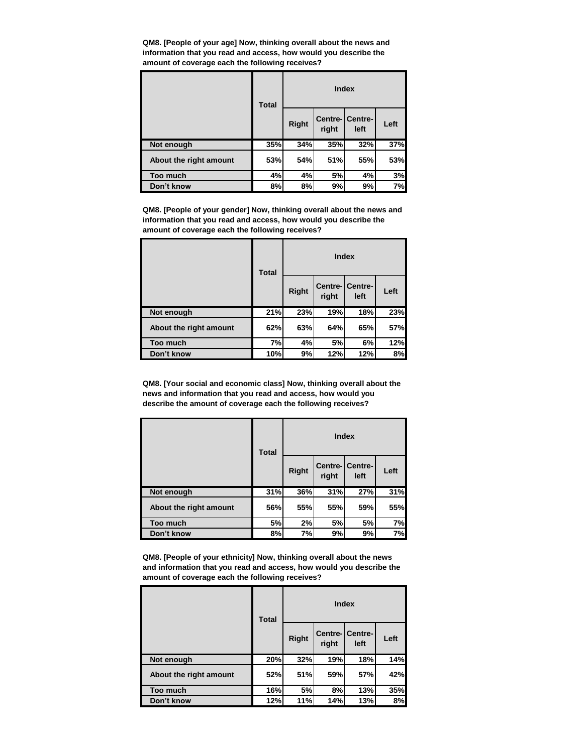**QM8. [People of your age] Now, thinking overall about the news and information that you read and access, how would you describe the amount of coverage each the following receives?**

|                        | <b>Total</b> |       |       | <b>Index</b>             |      |
|------------------------|--------------|-------|-------|--------------------------|------|
|                        |              | Right | right | Centre- Centre- <br>left | Left |
| Not enough             | 35%          | 34%   | 35%   | 32%                      | 37%  |
| About the right amount | 53%          | 54%   | 51%   | 55%                      | 53%  |
| Too much               | 4%           | 4%    | 5%    | 4%                       | 3%   |
| Don't know             | 8%           | 8%    | 9%    | 9%                       | 7%   |

**QM8. [People of your gender] Now, thinking overall about the news and information that you read and access, how would you describe the amount of coverage each the following receives?**

|                        | <b>Total</b> |              |       | <b>Index</b>            |      |
|------------------------|--------------|--------------|-------|-------------------------|------|
|                        |              | <b>Right</b> | right | Centre-ICentre-<br>left | Left |
| Not enough             | 21%          | 23%          | 19%   | 18%                     | 23%  |
| About the right amount | 62%          | 63%          | 64%   | 65%                     | 57%  |
| Too much               | 7%           | 4%           | 5%    | 6%                      | 12%  |
| Don't know             | 10%          | 9%           | 12%   | 12%                     | 8%   |

**QM8. [Your social and economic class] Now, thinking overall about the news and information that you read and access, how would you describe the amount of coverage each the following receives?**

|                        | <b>Total</b> | <b>Index</b> |       |                          |      |
|------------------------|--------------|--------------|-------|--------------------------|------|
|                        |              | Right        | right | Centre-ICentre-I<br>left | Left |
| Not enough             | 31%          | 36%          | 31%   | 27%                      | 31%  |
| About the right amount | 56%          | <b>55%</b>   | 55%   | 59%                      | 55%  |
| Too much               | 5%           | 2%           | 5%    | 5%                       | 7%   |
| Don't know             | 8%           | 7%           | 9%    | 9%                       | 7%   |

**QM8. [People of your ethnicity] Now, thinking overall about the news and information that you read and access, how would you describe the amount of coverage each the following receives?**

|                        | <b>Total</b> |              |       | <b>Index</b>                    |      |
|------------------------|--------------|--------------|-------|---------------------------------|------|
|                        |              | <b>Right</b> | right | <b>Centre-ICentre-I</b><br>left | Left |
| Not enough             | 20%          | 32%          | 19%   | 18%                             | 14%  |
| About the right amount | 52%          | 51%          | 59%   | 57%                             | 42%  |
| Too much               | 16%          | 5%           | 8%    | 13%                             | 35%  |
| Don't know             | 12%          | 11%          | 14%   | 13%                             | 8%   |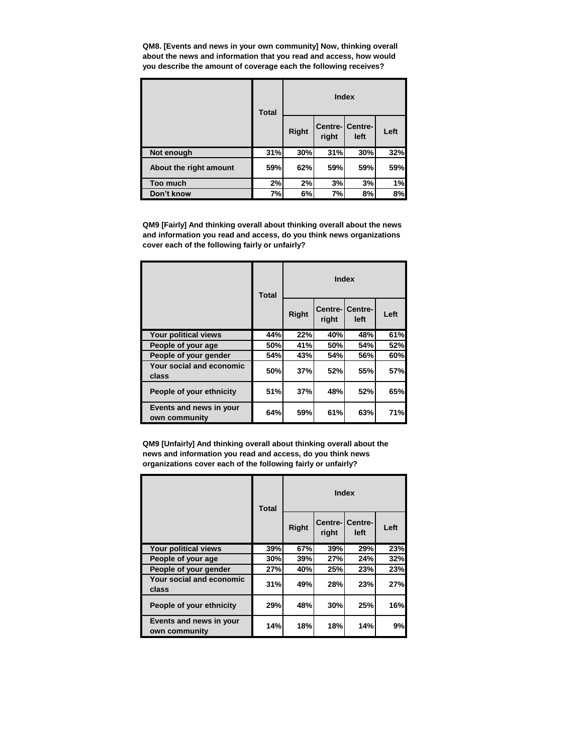**QM8. [Events and news in your own community] Now, thinking overall about the news and information that you read and access, how would you describe the amount of coverage each the following receives?**

|                        | <b>Total</b> |       |       | <b>Index</b>             |      |
|------------------------|--------------|-------|-------|--------------------------|------|
|                        |              | Right | right | Centre-ICentre-I<br>left | Left |
| Not enough             | 31%          | 30%   | 31%   | 30%                      | 32%  |
| About the right amount | 59%          | 62%   | 59%   | 59%                      | 59%  |
| Too much               | 2%           | 2%    | 3%    | 3%                       | 1%   |
| Don't know             | 7%           | 6%    | 7%    | 8%                       | 8%   |

**QM9 [Fairly] And thinking overall about thinking overall about the news and information you read and access, do you think news organizations cover each of the following fairly or unfairly?**

|                                          | <b>Total</b> |              |       | <b>Index</b>            |      |
|------------------------------------------|--------------|--------------|-------|-------------------------|------|
|                                          |              | <b>Right</b> | right | Centre-ICentre-<br>left | Left |
| Your political views                     | 44%          | 22%          | 40%   | 48%                     | 61%  |
| People of your age                       | 50%          | 41%          | 50%   | 54%                     | 52%  |
| People of your gender                    | 54%          | 43%          | 54%   | 56%                     | 60%  |
| Your social and economic<br>class        | 50%          | 37%          | 52%   | 55%                     | 57%  |
| People of your ethnicity                 | 51%          | 37%          | 48%   | 52%                     | 65%  |
| Events and news in your<br>own community | 64%          | 59%          | 61%   | 63%                     | 71%  |

**QM9 [Unfairly] And thinking overall about thinking overall about the news and information you read and access, do you think news organizations cover each of the following fairly or unfairly?**

|                                          | <b>Total</b> | <b>Index</b> |                  |                 |      |
|------------------------------------------|--------------|--------------|------------------|-----------------|------|
|                                          |              | <b>Right</b> | Centre-<br>right | Centre-<br>left | Left |
| Your political views                     | 39%          | 67%          | 39%              | 29%             | 23%  |
| People of your age                       | 30%          | 39%          | 27%              | 24%             | 32%  |
| People of your gender                    | 27%          | 40%          | 25%              | 23%             | 23%  |
| Your social and economic<br>class        | 31%          | 49%          | 28%              | 23%             | 27%  |
| People of your ethnicity                 | 29%          | 48%          | 30%              | 25%             | 16%  |
| Events and news in your<br>own community | 14%          | 18%          | 18%              | 14%             | 9%   |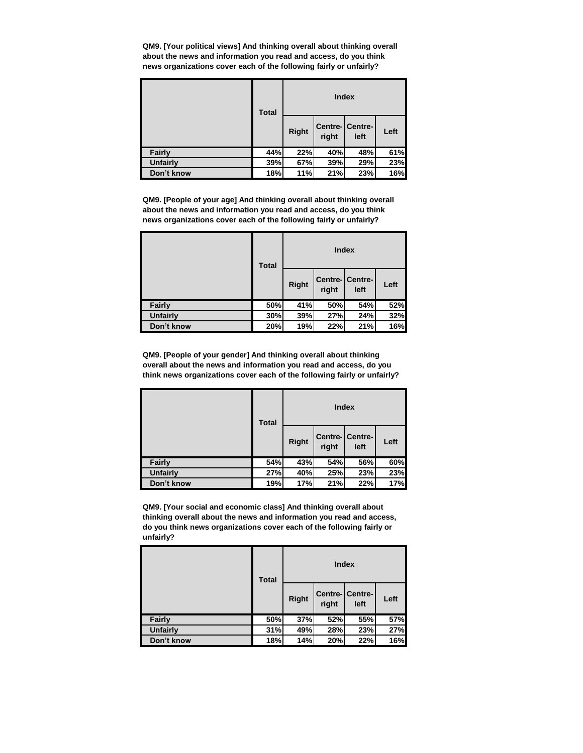**QM9. [Your political views] And thinking overall about thinking overall about the news and information you read and access, do you think news organizations cover each of the following fairly or unfairly?**

|                 | <b>Total</b> | <b>Index</b> |       |                         |      |
|-----------------|--------------|--------------|-------|-------------------------|------|
|                 |              | <b>Right</b> | right | Centre- Centre-<br>left | Left |
| <b>Fairly</b>   | 44%          | 22%          | 40%   | 48%                     | 61%  |
| <b>Unfairly</b> | 39%          | 67%          | 39%   | 29%                     | 23%  |
| Don't know      | 18%          | 11%          | 21%   | 23%                     | 16%  |

**QM9. [People of your age] And thinking overall about thinking overall about the news and information you read and access, do you think news organizations cover each of the following fairly or unfairly?**

|                 | <b>Total</b> | <b>Index</b> |       |                         |      |
|-----------------|--------------|--------------|-------|-------------------------|------|
|                 |              | <b>Right</b> | right | Centre- Centre-<br>left | Left |
| <b>Fairly</b>   | 50%          | 41%          | 50%   | 54%                     | 52%  |
| <b>Unfairly</b> | 30%          | 39%          | 27%   | 24%                     | 32%  |
| Don't know      | 20%          | 19%          | 22%   | 21%                     | 16%  |

**QM9. [People of your gender] And thinking overall about thinking overall about the news and information you read and access, do you think news organizations cover each of the following fairly or unfairly?**

|                 | <b>Total</b> | <b>Index</b> |       |                         |      |
|-----------------|--------------|--------------|-------|-------------------------|------|
|                 |              | <b>Right</b> | right | Centre- Centre-<br>left | Left |
| Fairly          | 54%          | 43%          | 54%   | 56%                     | 60%  |
| <b>Unfairly</b> | 27%          | 40%          | 25%   | 23%                     | 23%  |
| Don't know      | 19%          | 17%          | 21%   | 22%                     | 17%  |

**QM9. [Your social and economic class] And thinking overall about thinking overall about the news and information you read and access, do you think news organizations cover each of the following fairly or unfairly?**

|                 | <b>Total</b> | <b>Index</b> |       |                         |      |
|-----------------|--------------|--------------|-------|-------------------------|------|
|                 |              | <b>Right</b> | right | Centre- Centre-<br>left | Left |
| Fairly          | 50%          | 37%          | 52%   | 55%                     | 57%  |
| <b>Unfairly</b> | 31%          | 49%          | 28%   | 23%                     | 27%  |
| Don't know      | 18%          | 14%          | 20%   | 22%                     | 16%  |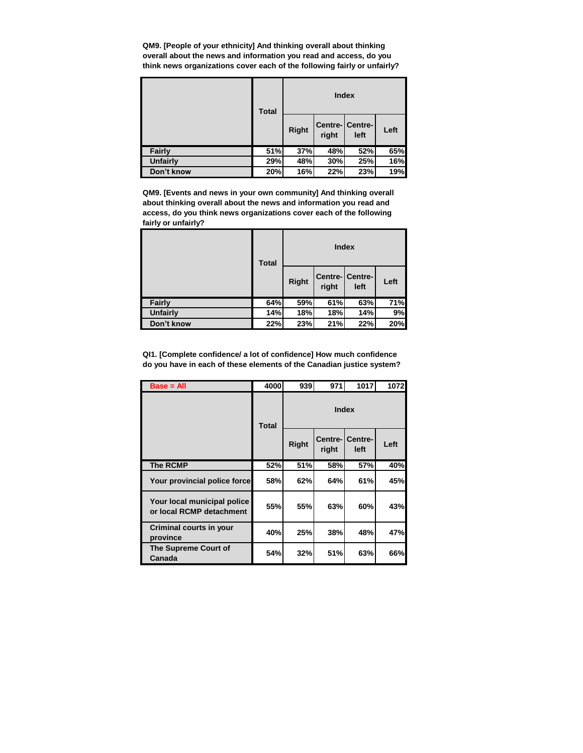**QM9. [People of your ethnicity] And thinking overall about thinking overall about the news and information you read and access, do you think news organizations cover each of the following fairly or unfairly?**

|            | <b>Total</b> | <b>Index</b> |       |                          |      |
|------------|--------------|--------------|-------|--------------------------|------|
|            |              | <b>Right</b> | right | Centre- Centre- <br>left | Left |
| Fairly     | 51%          | 37%          | 48%   | 52%                      | 65%  |
| Unfairly   | 29%          | 48%          | 30%   | 25%                      | 16%  |
| Don't know | 20%          | 16%          | 22%   | 23%                      | 19%  |

**QM9. [Events and news in your own community] And thinking overall about thinking overall about the news and information you read and access, do you think news organizations cover each of the following fairly or unfairly?**

|                 | <b>Total</b> |              | <b>Index</b> |                        |      |
|-----------------|--------------|--------------|--------------|------------------------|------|
|                 |              | <b>Right</b> | right        | Centre-Centre-<br>left | Left |
| Fairly          | 64%          | 59%          | 61%          | 63%                    | 71%  |
| <b>Unfairly</b> | 14%          | 18%          | 18%          | 14%                    | 9%   |
| Don't know      | 22%          | 23%          | 21%          | 22%                    | 20%  |

**QI1. [Complete confidence/ a lot of confidence] How much confidence do you have in each of these elements of the Canadian justice system?**

| Base = All      |                                                         | 4000         | 939          | 971               | 1017            | 1072 |  |
|-----------------|---------------------------------------------------------|--------------|--------------|-------------------|-----------------|------|--|
|                 |                                                         | <b>Total</b> | Index        |                   |                 |      |  |
|                 |                                                         |              | <b>Right</b> | Centre-I<br>right | Centre-<br>left | Left |  |
| <b>The RCMP</b> |                                                         | 52%          | <b>51%</b>   | 58%               | 57%             | 40%  |  |
|                 | Your provincial police force                            | 58%          | 62%          | 64%               | 61%             | 45%  |  |
|                 | Your local municipal police<br>or local RCMP detachment | 55%          | <b>55%</b>   | 63%               | 60%             | 43%  |  |
| province        | Criminal courts in your                                 | 40%          | 25%          | 38%               | 48%             | 47%  |  |
| Canada          | The Supreme Court of                                    | 54%          | 32%          | 51%               | 63%             | 66%  |  |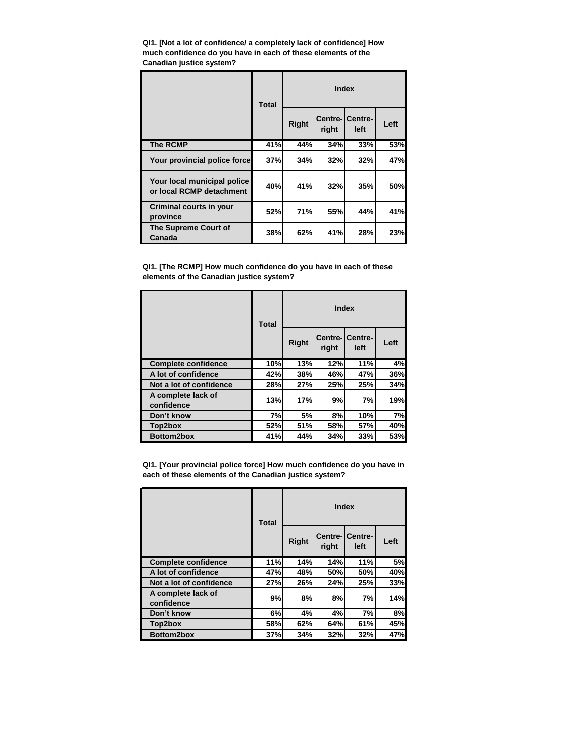**QI1. [Not a lot of confidence/ a completely lack of confidence] How much confidence do you have in each of these elements of the Canadian justice system?**

|                                                         | <b>Total</b> | <b>Index</b> |       |                                |      |
|---------------------------------------------------------|--------------|--------------|-------|--------------------------------|------|
|                                                         |              | <b>Right</b> | right | <b>Centre-ICentre-</b><br>left | Left |
| <b>The RCMP</b>                                         | 41%          | 44%          | 34%   | 33%                            | 53%  |
| Your provincial police force                            | 37%          | 34%          | 32%   | 32%                            | 47%  |
| Your local municipal police<br>or local RCMP detachment | 40%          | 41%          | 32%   | 35%                            | 50%  |
| <b>Criminal courts in your</b><br>province              | 52%          | 71%          | 55%   | 44%                            | 41%  |
| The Supreme Court of<br>Canada                          | 38%          | 62%          | 41%   | 28%                            | 23%  |

**QI1. [The RCMP] How much confidence do you have in each of these elements of the Canadian justice system?**

|                                  | <b>Total</b> | <b>Index</b> |                   |                 |      |
|----------------------------------|--------------|--------------|-------------------|-----------------|------|
|                                  |              | <b>Right</b> | Centre-I<br>right | Centre-<br>left | Left |
| <b>Complete confidence</b>       | 10%          | 13%          | 12%               | 11%             | 4%   |
| A lot of confidence              | 42%          | 38%          | 46%               | 47%             | 36%  |
| Not a lot of confidence          | 28%          | 27%          | 25%               | 25%             | 34%  |
| A complete lack of<br>confidence | 13%          | 17%          | 9%                | 7%              | 19%  |
| Don't know                       | 7%           | 5%           | 8%                | 10%             | 7%   |
| Top2box                          | 52%          | 51%          | 58%               | 57%             | 40%  |
| Bottom2box                       | 41%          | 44%          | 34%               | 33%             | 53%  |

**QI1. [Your provincial police force] How much confidence do you have in each of these elements of the Canadian justice system?**

|                                  | <b>Index</b><br><b>Total</b> |              |                  |                 |      |
|----------------------------------|------------------------------|--------------|------------------|-----------------|------|
|                                  |                              | <b>Right</b> | Centre-<br>right | Centre-<br>left | Left |
| <b>Complete confidence</b>       | 11%                          | 14%          | 14%              | 11%             | 5%   |
| A lot of confidence              | 47%                          | 48%          | 50%              | 50%             | 40%  |
| Not a lot of confidence          | 27%                          | 26%          | 24%              | 25%             | 33%  |
| A complete lack of<br>confidence | 9%                           | 8%           | 8%               | 7%              | 14%  |
| Don't know                       | 6%                           | 4%           | 4%               | 7%              | 8%   |
| Top2box                          | 58%                          | 62%          | 64%              | 61%             | 45%  |
| <b>Bottom2box</b>                | 37%                          | 34%          | 32%              | 32%             | 47%  |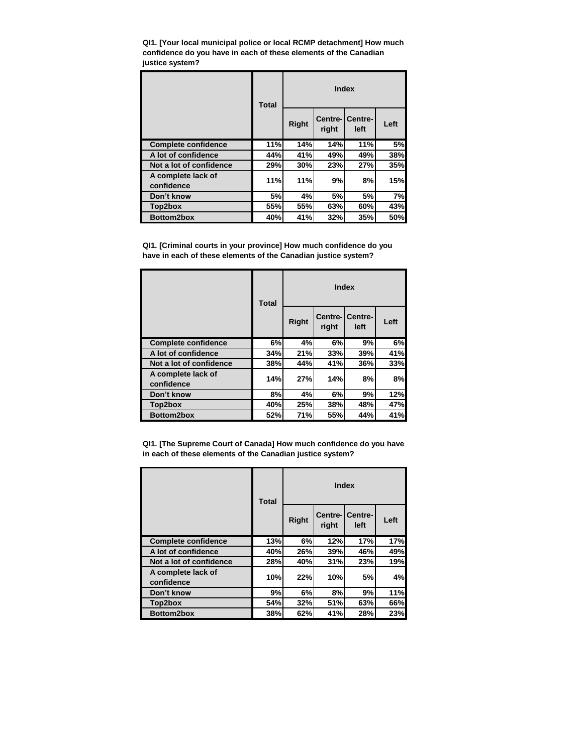**QI1. [Your local municipal police or local RCMP detachment] How much confidence do you have in each of these elements of the Canadian justice system?**

|                                  | <b>Index</b><br><b>Total</b> |              |                   |                 |      |
|----------------------------------|------------------------------|--------------|-------------------|-----------------|------|
|                                  |                              | <b>Right</b> | Centre-I<br>right | Centre-<br>left | Left |
| <b>Complete confidence</b>       | 11%                          | 14%          | 14%               | 11%             | 5%   |
| A lot of confidence              | 44%                          | 41%          | 49%               | 49%             | 38%  |
| Not a lot of confidence          | 29%                          | 30%          | 23%               | 27%             | 35%  |
| A complete lack of<br>confidence | 11%                          | 11%          | 9%                | 8%              | 15%  |
| Don't know                       | 5%                           | 4%           | 5%                | 5%              | 7%   |
| Top2box                          | 55%                          | 55%          | 63%               | 60%             | 43%  |
| Bottom2box                       | 40%                          | 41%          | 32%               | 35%             | 50%  |

**QI1. [Criminal courts in your province] How much confidence do you have in each of these elements of the Canadian justice system?**

|                                  | <b>Total</b> | <b>Index</b> |                   |                 |      |
|----------------------------------|--------------|--------------|-------------------|-----------------|------|
|                                  |              | <b>Right</b> | Centre-I<br>right | Centre-<br>left | Left |
| <b>Complete confidence</b>       | 6%           | 4%           | 6%                | 9%              | 6%   |
| A lot of confidence              | 34%          | 21%          | 33%               | 39%             | 41%  |
| Not a lot of confidence          | 38%          | 44%          | 41%               | 36%             | 33%  |
| A complete lack of<br>confidence | 14%          | 27%          | 14%               | 8%              | 8%   |
| Don't know                       | 8%           | 4%           | 6%                | 9%              | 12%  |
| Top2box                          | 40%          | 25%          | 38%               | 48%             | 47%  |
| Bottom2box                       | 52%          | 71%          | 55%               | 44%             | 41%  |

**QI1. [The Supreme Court of Canada] How much confidence do you have in each of these elements of the Canadian justice system?**

|                                  | Index<br><b>Total</b> |       |       |                         |      |
|----------------------------------|-----------------------|-------|-------|-------------------------|------|
|                                  |                       | Right | right | Centre-ICentre-<br>left | Left |
| <b>Complete confidence</b>       | 13%                   | 6%    | 12%   | 17%                     | 17%  |
| A lot of confidence              | 40%                   | 26%   | 39%   | 46%                     | 49%  |
| Not a lot of confidence          | 28%                   | 40%   | 31%   | 23%                     | 19%  |
| A complete lack of<br>confidence | 10%                   | 22%   | 10%   | 5%                      | 4%   |
| Don't know                       | 9%                    | 6%    | 8%    | 9%                      | 11%  |
| Top2box                          | 54%                   | 32%   | 51%   | 63%                     | 66%  |
| Bottom2box                       | 38%                   | 62%   | 41%   | 28%                     | 23%  |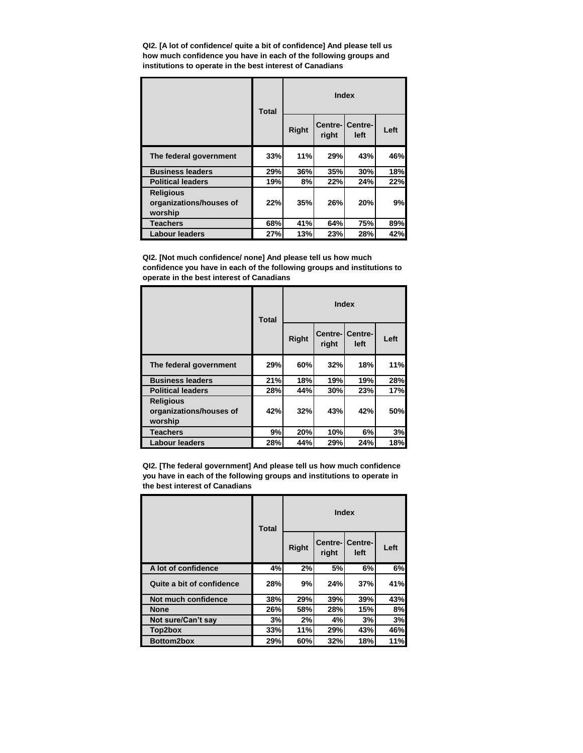**QI2. [A lot of confidence/ quite a bit of confidence] And please tell us how much confidence you have in each of the following groups and institutions to operate in the best interest of Canadians**

|                                                        | <b>Total</b> |              |                  | <b>Index</b>    |      |
|--------------------------------------------------------|--------------|--------------|------------------|-----------------|------|
|                                                        |              | <b>Right</b> | Centre-<br>right | Centre-<br>left | Left |
| The federal government                                 | 33%          | 11%          | 29%              | 43%             | 46%  |
| <b>Business leaders</b>                                | 29%          | 36%          | 35%              | 30%             | 18%  |
| <b>Political leaders</b>                               | 19%          | 8%           | 22%              | 24%             | 22%  |
| <b>Religious</b><br>organizations/houses of<br>worship | 22%          | 35%          | 26%              | 20%             | 9%   |
| <b>Teachers</b>                                        | 68%          | 41%          | 64%              | 75%             | 89%  |
| <b>Labour leaders</b>                                  | 27%          | 13%          | 23%              | 28%             | 42%  |

**QI2. [Not much confidence/ none] And please tell us how much confidence you have in each of the following groups and institutions to operate in the best interest of Canadians**

|                                                        | <b>Index</b><br><b>Total</b> |              |                  |                 |      |  |
|--------------------------------------------------------|------------------------------|--------------|------------------|-----------------|------|--|
|                                                        |                              | <b>Right</b> | Centre-<br>right | Centre-<br>left | Left |  |
| The federal government                                 | 29%                          | 60%          | 32%              | <b>18%</b>      | 11%  |  |
| <b>Business leaders</b>                                | 21%                          | 18%          | 19%              | 19%             | 28%  |  |
| <b>Political leaders</b>                               | 28%                          | 44%          | 30%              | 23%             | 17%  |  |
| <b>Religious</b><br>organizations/houses of<br>worship | 42%                          | 32%          | 43%              | 42%             | 50%  |  |
| <b>Teachers</b>                                        | 9%                           | 20%          | 10%              | 6%              | 3%   |  |
| <b>Labour leaders</b>                                  | 28%                          | 44%          | 29%              | 24%             | 18%  |  |

**QI2. [The federal government] And please tell us how much confidence you have in each of the following groups and institutions to operate in the best interest of Canadians**

|                           | <b>Total</b> |       |                   | Index           |      |
|---------------------------|--------------|-------|-------------------|-----------------|------|
|                           |              | Right | Centre-I<br>right | Centre-<br>left | Left |
| A lot of confidence       | 4%           | 2%    | 5%                | 6%              | 6%   |
| Quite a bit of confidence | 28%          | 9%    | 24%               | 37%             | 41%  |
| Not much confidence       | 38%          | 29%   | 39%               | 39%             | 43%  |
| <b>None</b>               | 26%          | 58%   | 28%               | 15%             | 8%   |
| Not sure/Can't say        | 3%           | 2%    | 4%                | 3%              | 3%   |
| Top2box                   | 33%          | 11%   | 29%               | 43%             | 46%  |
| <b>Bottom2box</b>         | 29%          | 60%   | 32%               | 18%             | 11%  |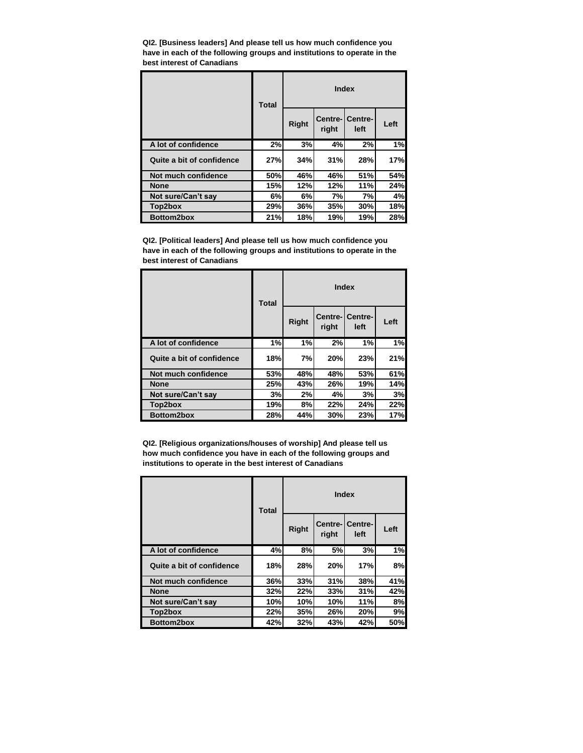**QI2. [Business leaders] And please tell us how much confidence you have in each of the following groups and institutions to operate in the best interest of Canadians**

|                           | Index<br><b>Total</b> |              |       |                         |      |
|---------------------------|-----------------------|--------------|-------|-------------------------|------|
|                           |                       | <b>Right</b> | right | Centre-ICentre-<br>left | Left |
| A lot of confidence       | 2%                    | 3%           | 4%    | 2%                      | 1%   |
| Quite a bit of confidence | 27%                   | 34%          | 31%   | 28%                     | 17%  |
| Not much confidence       | 50%                   | 46%          | 46%   | 51%                     | 54%  |
| <b>None</b>               | 15%                   | 12%          | 12%   | 11%                     | 24%  |
| Not sure/Can't say        | 6%                    | 6%           | 7%    | 7%                      | 4%   |
| Top2box                   | 29%                   | 36%          | 35%   | 30%                     | 18%  |
| Bottom2box                | 21%                   | 18%          | 19%   | 19%                     | 28%  |

**QI2. [Political leaders] And please tell us how much confidence you have in each of the following groups and institutions to operate in the best interest of Canadians**

|                           | <b>Total</b> | <b>Index</b> |                   |                 |      |
|---------------------------|--------------|--------------|-------------------|-----------------|------|
|                           |              | Right        | Centre-I<br>right | Centre-<br>left | Left |
| A lot of confidence       | 1%           | 1%           | 2%                | 1%              | 1%   |
| Quite a bit of confidence | 18%          | 7%           | 20%               | 23%             | 21%  |
| Not much confidence       | 53%          | 48%          | 48%               | 53%             | 61%  |
| <b>None</b>               | 25%          | 43%          | 26%               | 19%             | 14%  |
| Not sure/Can't say        | 3%           | 2%           | 4%                | 3%              | 3%   |
| Top2box                   | 19%          | 8%           | 22%               | 24%             | 22%  |
| Bottom2box                | 28%          | 44%          | 30%               | 23%             | 17%  |

**QI2. [Religious organizations/houses of worship] And please tell us how much confidence you have in each of the following groups and institutions to operate in the best interest of Canadians**

|                           | <b>Total</b> | <b>Index</b> |                   |                 |      |
|---------------------------|--------------|--------------|-------------------|-----------------|------|
|                           |              | <b>Right</b> | Centre-I<br>right | Centre-<br>left | Left |
| A lot of confidence       | 4%           | 8%           | 5%                | 3%              | 1%   |
| Quite a bit of confidence | 18%          | 28%          | 20%               | 17%             | 8%   |
| Not much confidence       | 36%          | 33%          | 31%               | 38%             | 41%  |
| <b>None</b>               | 32%          | 22%          | 33%               | 31%             | 42%  |
| Not sure/Can't say        | 10%          | 10%          | 10%               | 11%             | 8%   |
| Top2box                   | 22%          | 35%          | 26%               | 20%             | 9%   |
| <b>Bottom2box</b>         | 42%          | 32%          | 43%               | 42%             | 50%  |